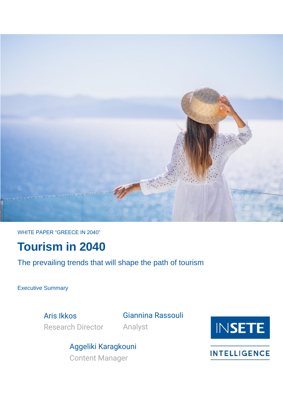

WHITE PAPER "GREECE IN 2040"

# **Tourism in 2040**

The prevailing trends that will shape the path of tourism

Executive Summary

Aris Ikkos Research Director Giannina Rassouli Analyst





**INTELLIGENCE**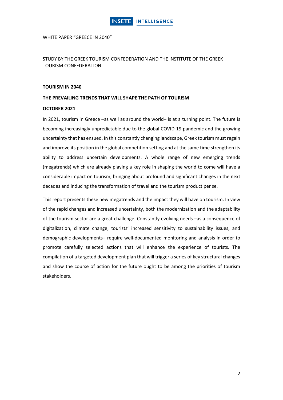

WHITE PAPER "GREECE IN 2040"

STUDY BY THE GREEK TOURISM CONFEDERATION AND THE INSTITUTE OF THE GREEK TOURISM CONFEDERATION

#### **TOURISM IN 2040**

#### **THE PREVAILING TRENDS THAT WILL SHAPE THE PATH OF TOURISM**

#### **OCTOBER 2021**

In 2021, tourism in Greece –as well as around the world– is at a turning point. The future is becoming increasingly unpredictable due to the global COVID-19 pandemic and the growing uncertainty that has ensued. In this constantly changing landscape, Greek tourism must regain and improve its position in the global competition setting and at the same time strengthen its ability to address uncertain developments. A whole range of new emerging trends (megatrends) which are already playing a key role in shaping the world to come will have a considerable impact on tourism, bringing about profound and significant changes in the next decades and inducing the transformation of travel and the tourism product per se.

This report presents these new megatrends and the impact they will have on tourism. In view of the rapid changes and increased uncertainty, both the modernization and the adaptability of the tourism sector are a great challenge. Constantly evolving needs –as a consequence of digitalization, climate change, tourists' increased sensitivity to sustainability issues, and demographic developments– require well-documented monitoring and analysis in order to promote carefully selected actions that will enhance the experience of tourists. The compilation of a targeted development plan that will trigger a series of key structural changes and show the course of action for the future ought to be among the priorities of tourism stakeholders.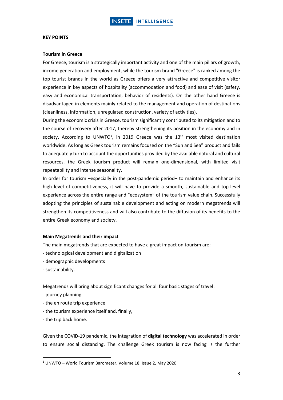#### **KEY POINTS**

#### **Tourism in Greece**

For Greece, tourism is a strategically important activity and one of the main pillars of growth, income generation and employment, while the tourism brand "Greece" is ranked among the top tourist brands in the world as Greece offers a very attractive and competitive visitor experience in key aspects of hospitality (accommodation and food) and ease of visit (safety, easy and economical transportation, behavior of residents). On the other hand Greece is disadvantaged in elements mainly related to the management and operation of destinations (cleanliness, information, unregulated construction, variety of activities).

During the economic crisis in Greece, tourism significantly contributed to its mitigation and to the course of recovery after 2017, thereby strengthening its position in the economy and in society. According to UNWTO<sup>1</sup>, in 2019 Greece was the  $13<sup>th</sup>$  most visited destination worldwide. As long as Greek tourism remains focused on the "Sun and Sea" product and fails to adequately turn to account the opportunities provided by the available natural and cultural resources, the Greek tourism product will remain one-dimensional, with limited visit repeatability and intense seasonality.

In order for tourism –especially in the post-pandemic period– to maintain and enhance its high level of competitiveness, it will have to provide a smooth, sustainable and top-level experience across the entire range and "ecosystem" of the tourism value chain. Successfully adopting the principles of sustainable development and acting on modern megatrends will strengthen its competitiveness and will also contribute to the diffusion of its benefits to the entire Greek economy and society.

### **Main Megatrends and their impact**

The main megatrends that are expected to have a great impact on tourism are:

- technological development and digitalization
- demographic developments
- sustainability.

Megatrends will bring about significant changes for all four basic stages of travel:

- journey planning
- the en route trip experience
- the tourism experience itself and, finally,
- the trip back home.

Given the COVID-19 pandemic, the integration of **digital technology** was accelerated in order to ensure social distancing. The challenge Greek tourism is now facing is the further

<sup>1</sup> UNWTO – World Tourism Barometer, Volume 18, Issue 2, May 2020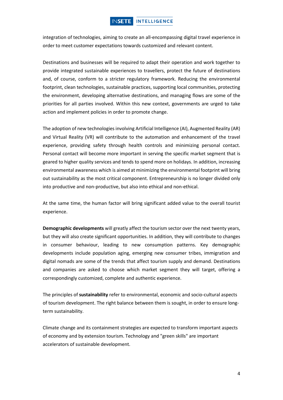## **INSETE INTELLIGENCE**

integration of technologies, aiming to create an all-encompassing digital travel experience in order to meet customer expectations towards customized and relevant content.

Destinations and businesses will be required to adapt their operation and work together to provide integrated sustainable experiences to travellers, protect the future of destinations and, of course, conform to a stricter regulatory framework. Reducing the environmental footprint, clean technologies, sustainable practices, supporting local communities, protecting the environment, developing alternative destinations, and managing flows are some of the priorities for all parties involved. Within this new context, governments are urged to take action and implement policies in order to promote change.

The adoption of new technologies involving Artificial Intelligence (AI), Augmented Reality (AR) and Virtual Reality (VR) will contribute to the automation and enhancement of the travel experience, providing safety through health controls and minimizing personal contact. Personal contact will become more important in serving the specific market segment that is geared to higher quality services and tends to spend more on holidays. In addition, increasing environmental awareness which is aimed at minimizing the environmental footprint will bring out sustainability as the most critical component. Entrepreneurship is no longer divided only into productive and non-productive, but also into ethical and non-ethical.

At the same time, the human factor will bring significant added value to the overall tourist experience.

**Demographic developments** will greatly affect the tourism sector over the next twenty years, but they will also create significant opportunities. In addition, they will contribute to changes in consumer behaviour, leading to new consumption patterns. Key demographic developments include population aging, emerging new consumer tribes, immigration and digital nomads are some of the trends that affect tourism supply and demand. Destinations and companies are asked to choose which market segment they will target, offering a correspondingly customized, complete and authentic experience.

The principles of **sustainability** refer to environmental, economic and socio-cultural aspects of tourism development. The right balance between them is sought, in order to ensure longterm sustainability.

Climate change and its containment strategies are expected to transform important aspects of economy and by extension tourism. Technology and "green skills" are important accelerators of sustainable development.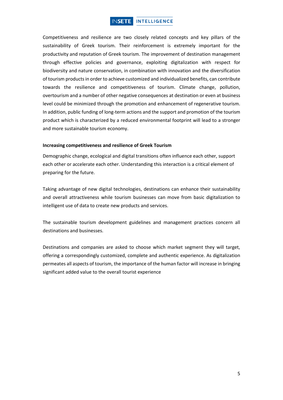## **INSETE INTELLIGENCE**

Competitiveness and resilience are two closely related concepts and key pillars of the sustainability of Greek tourism. Their reinforcement is extremely important for the productivity and reputation of Greek tourism. The improvement of destination management through effective policies and governance, exploiting digitalization with respect for biodiversity and nature conservation, in combination with innovation and the diversification of tourism productsin order to achieve customized and individualized benefits, can contribute towards the resilience and competitiveness of tourism. Climate change, pollution, overtourism and a number of other negative consequences at destination or even at business level could be minimized through the promotion and enhancement of regenerative tourism. In addition, public funding of long-term actions and the support and promotion of the tourism product which is characterized by a reduced environmental footprint will lead to a stronger and more sustainable tourism economy.

### **Increasing competitiveness and resilience of Greek Tourism**

Demographic change, ecological and digital transitions often influence each other, support each other or accelerate each other. Understanding this interaction is a critical element of preparing for the future.

Taking advantage of new digital technologies, destinations can enhance their sustainability and overall attractiveness while tourism businesses can move from basic digitalization to intelligent use of data to create new products and services.

The sustainable tourism development guidelines and management practices concern all destinations and businesses.

Destinations and companies are asked to choose which market segment they will target, offering a correspondingly customized, complete and authentic experience. As digitalization permeates all aspects of tourism, the importance of the human factor will increase in bringing significant added value to the overall tourist experience